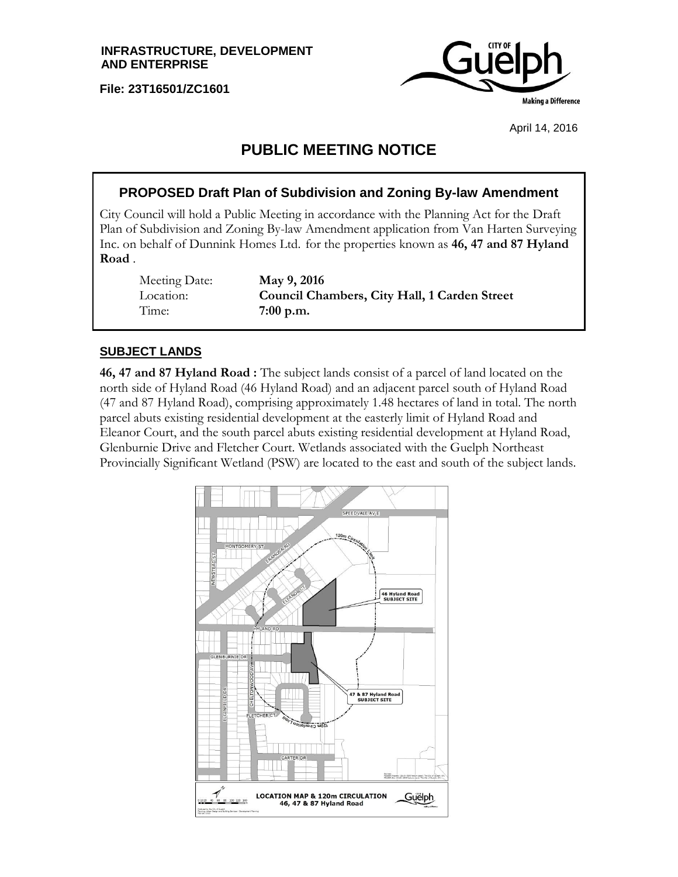**File: 23T16501/ZC1601**



April 14, 2016

# **PUBLIC MEETING NOTICE**

# **PROPOSED Draft Plan of Subdivision and Zoning By-law Amendment**

City Council will hold a Public Meeting in accordance with the Planning Act for the Draft Plan of Subdivision and Zoning By-law Amendment application from Van Harten Surveying Inc. on behalf of Dunnink Homes Ltd. for the properties known as **46, 47 and 87 Hyland Road** .

Meeting Date: **May 9, 2016** Time: **7:00 p.m.**

Location: **Council Chambers, City Hall, 1 Carden Street**

### **SUBJECT LANDS**

**46, 47 and 87 Hyland Road :** The subject lands consist of a parcel of land located on the north side of Hyland Road (46 Hyland Road) and an adjacent parcel south of Hyland Road (47 and 87 Hyland Road), comprising approximately 1.48 hectares of land in total. The north parcel abuts existing residential development at the easterly limit of Hyland Road and Eleanor Court, and the south parcel abuts existing residential development at Hyland Road, Glenburnie Drive and Fletcher Court. Wetlands associated with the Guelph Northeast Provincially Significant Wetland (PSW) are located to the east and south of the subject lands.

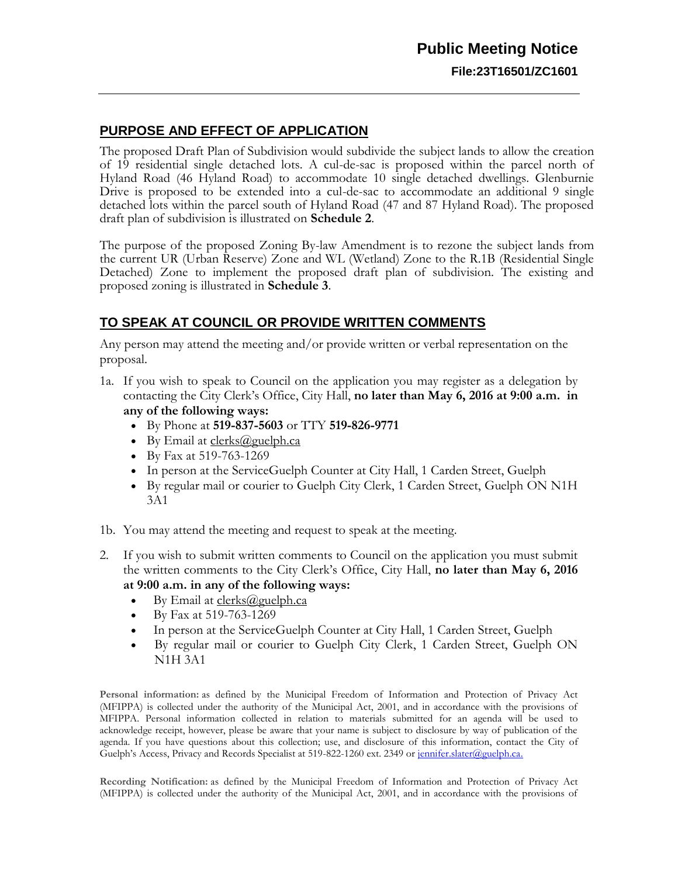# **PURPOSE AND EFFECT OF APPLICATION**

The proposed Draft Plan of Subdivision would subdivide the subject lands to allow the creation of 19 residential single detached lots. A cul-de-sac is proposed within the parcel north of Hyland Road (46 Hyland Road) to accommodate 10 single detached dwellings. Glenburnie Drive is proposed to be extended into a cul-de-sac to accommodate an additional 9 single detached lots within the parcel south of Hyland Road (47 and 87 Hyland Road). The proposed draft plan of subdivision is illustrated on **Schedule 2**.

The purpose of the proposed Zoning By-law Amendment is to rezone the subject lands from the current UR (Urban Reserve) Zone and WL (Wetland) Zone to the R.1B (Residential Single Detached) Zone to implement the proposed draft plan of subdivision. The existing and proposed zoning is illustrated in **Schedule 3**.

## **TO SPEAK AT COUNCIL OR PROVIDE WRITTEN COMMENTS**

Any person may attend the meeting and/or provide written or verbal representation on the proposal.

- 1a. If you wish to speak to Council on the application you may register as a delegation by contacting the City Clerk's Office, City Hall, **no later than May 6, 2016 at 9:00 a.m. in any of the following ways:**
	- By Phone at **519-837-5603** or TTY **519-826-9771**
	- $\bullet$  By Email at [clerks@guelph.ca](javascript:smae_decode()
	- By Fax at 519-763-1269
	- In person at the ServiceGuelph Counter at City Hall, 1 Carden Street, Guelph
	- By regular mail or courier to Guelph City Clerk, 1 Carden Street, Guelph ON N1H 3A1
- 1b. You may attend the meeting and request to speak at the meeting.
- 2. If you wish to submit written comments to Council on the application you must submit the written comments to the City Clerk's Office, City Hall, **no later than May 6, 2016 at 9:00 a.m. in any of the following ways:**
	- $\bullet$  By Email at [clerks@guelph.ca](javascript:smae_decode()
	- By Fax at 519-763-1269
	- In person at the ServiceGuelph Counter at City Hall, 1 Carden Street, Guelph
	- By regular mail or courier to Guelph City Clerk, 1 Carden Street, Guelph ON N1H 3A1

Personal information: as defined by the Municipal Freedom of Information and Protection of Privacy Act (MFIPPA) is collected under the authority of the Municipal Act, 2001, and in accordance with the provisions of MFIPPA. Personal information collected in relation to materials submitted for an agenda will be used to acknowledge receipt, however, please be aware that your name is subject to disclosure by way of publication of the agenda. If you have questions about this collection; use, and disclosure of this information, contact the City of Guelph's Access, Privacy and Records Specialist at 519-822-1260 ext. 2349 or [jennifer.slater@guelph.ca.](mailto:JENNIFER.SLATER@guelph.ca)

**Recording Notification:** as defined by the Municipal Freedom of Information and Protection of Privacy Act (MFIPPA) is collected under the authority of the Municipal Act, 2001, and in accordance with the provisions of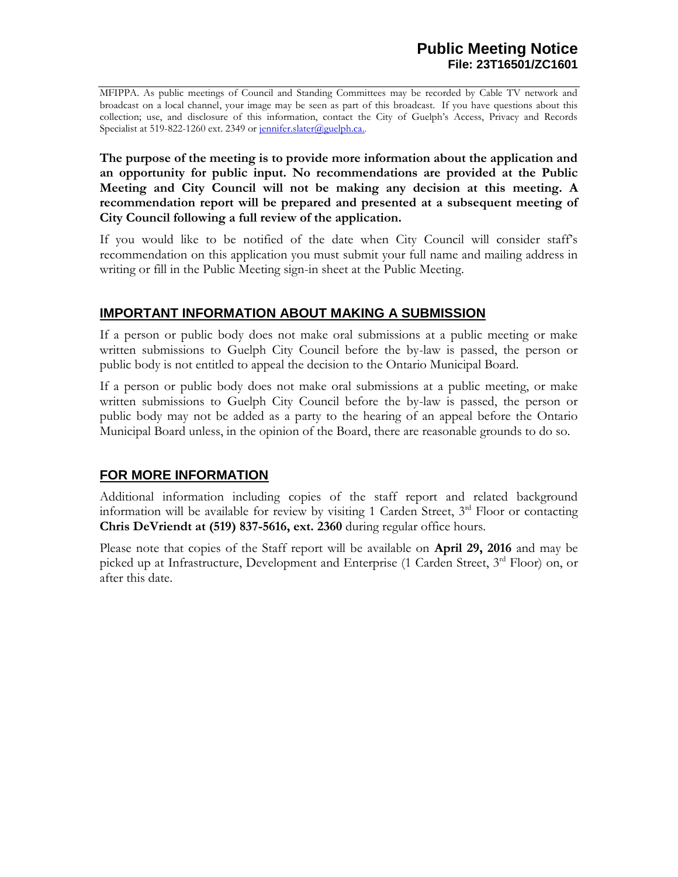MFIPPA. As public meetings of Council and Standing Committees may be recorded by Cable TV network and broadcast on a local channel, your image may be seen as part of this broadcast. If you have questions about this collection; use, and disclosure of this information, contact the City of Guelph's Access, Privacy and Records Specialist at 519-822-1260 ext. 2349 or [jennifer.slater@guelph.ca..](mailto:jennifer.slater@guelph.ca)

**The purpose of the meeting is to provide more information about the application and an opportunity for public input. No recommendations are provided at the Public Meeting and City Council will not be making any decision at this meeting. A recommendation report will be prepared and presented at a subsequent meeting of City Council following a full review of the application.** 

If you would like to be notified of the date when City Council will consider staff's recommendation on this application you must submit your full name and mailing address in writing or fill in the Public Meeting sign-in sheet at the Public Meeting.

### **IMPORTANT INFORMATION ABOUT MAKING A SUBMISSION**

If a person or public body does not make oral submissions at a public meeting or make written submissions to Guelph City Council before the by-law is passed, the person or public body is not entitled to appeal the decision to the Ontario Municipal Board.

If a person or public body does not make oral submissions at a public meeting, or make written submissions to Guelph City Council before the by-law is passed, the person or public body may not be added as a party to the hearing of an appeal before the Ontario Municipal Board unless, in the opinion of the Board, there are reasonable grounds to do so.

## **FOR MORE INFORMATION**

Additional information including copies of the staff report and related background information will be available for review by visiting 1 Carden Street, 3<sup>rd</sup> Floor or contacting **Chris DeVriendt at (519) 837-5616, ext. 2360** during regular office hours.

Please note that copies of the Staff report will be available on **April 29, 2016** and may be picked up at Infrastructure, Development and Enterprise (1 Carden Street, 3<sup>rd</sup> Floor) on, or after this date.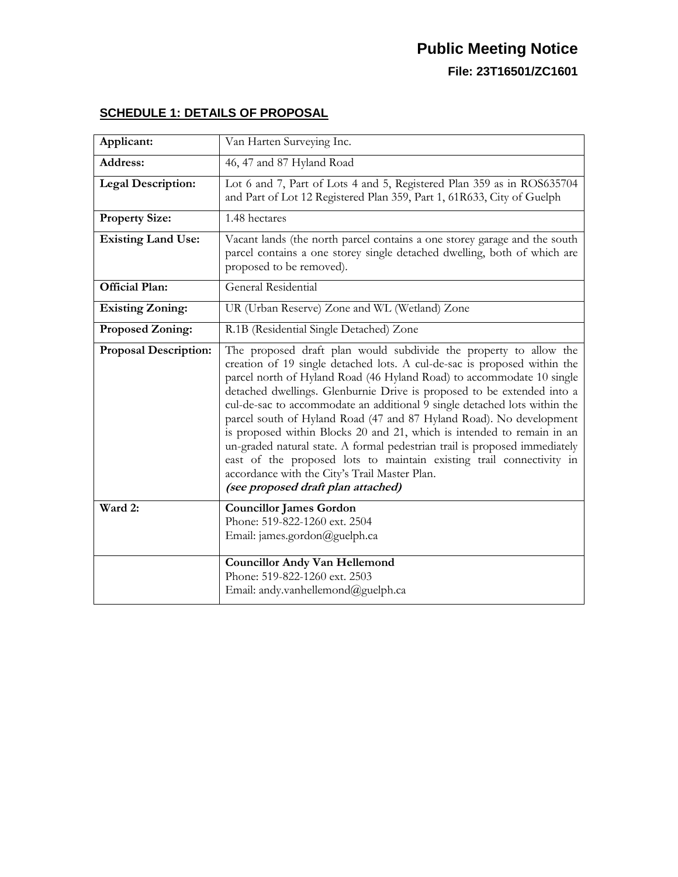| Applicant:                   | Van Harten Surveying Inc.                                                                                                                                                                                                                                                                                                                                                                                                                                                                                                                                                                                                                                                                                                                                                   |
|------------------------------|-----------------------------------------------------------------------------------------------------------------------------------------------------------------------------------------------------------------------------------------------------------------------------------------------------------------------------------------------------------------------------------------------------------------------------------------------------------------------------------------------------------------------------------------------------------------------------------------------------------------------------------------------------------------------------------------------------------------------------------------------------------------------------|
| <b>Address:</b>              | 46, 47 and 87 Hyland Road                                                                                                                                                                                                                                                                                                                                                                                                                                                                                                                                                                                                                                                                                                                                                   |
| <b>Legal Description:</b>    | Lot 6 and 7, Part of Lots 4 and 5, Registered Plan 359 as in ROS635704<br>and Part of Lot 12 Registered Plan 359, Part 1, 61R633, City of Guelph                                                                                                                                                                                                                                                                                                                                                                                                                                                                                                                                                                                                                            |
| <b>Property Size:</b>        | 1.48 hectares                                                                                                                                                                                                                                                                                                                                                                                                                                                                                                                                                                                                                                                                                                                                                               |
| <b>Existing Land Use:</b>    | Vacant lands (the north parcel contains a one storey garage and the south<br>parcel contains a one storey single detached dwelling, both of which are<br>proposed to be removed).                                                                                                                                                                                                                                                                                                                                                                                                                                                                                                                                                                                           |
| <b>Official Plan:</b>        | <b>General Residential</b>                                                                                                                                                                                                                                                                                                                                                                                                                                                                                                                                                                                                                                                                                                                                                  |
| <b>Existing Zoning:</b>      | UR (Urban Reserve) Zone and WL (Wetland) Zone                                                                                                                                                                                                                                                                                                                                                                                                                                                                                                                                                                                                                                                                                                                               |
| <b>Proposed Zoning:</b>      | R.1B (Residential Single Detached) Zone                                                                                                                                                                                                                                                                                                                                                                                                                                                                                                                                                                                                                                                                                                                                     |
| <b>Proposal Description:</b> | The proposed draft plan would subdivide the property to allow the<br>creation of 19 single detached lots. A cul-de-sac is proposed within the<br>parcel north of Hyland Road (46 Hyland Road) to accommodate 10 single<br>detached dwellings. Glenburnie Drive is proposed to be extended into a<br>cul-de-sac to accommodate an additional 9 single detached lots within the<br>parcel south of Hyland Road (47 and 87 Hyland Road). No development<br>is proposed within Blocks 20 and 21, which is intended to remain in an<br>un-graded natural state. A formal pedestrian trail is proposed immediately<br>east of the proposed lots to maintain existing trail connectivity in<br>accordance with the City's Trail Master Plan.<br>(see proposed draft plan attached) |
| Ward 2:                      | <b>Councillor James Gordon</b><br>Phone: 519-822-1260 ext. 2504<br>Email: james.gordon@guelph.ca<br><b>Councillor Andy Van Hellemond</b>                                                                                                                                                                                                                                                                                                                                                                                                                                                                                                                                                                                                                                    |
|                              | Phone: 519-822-1260 ext. 2503<br>Email: andy.vanhellemond@guelph.ca                                                                                                                                                                                                                                                                                                                                                                                                                                                                                                                                                                                                                                                                                                         |

# **SCHEDULE 1: DETAILS OF PROPOSAL**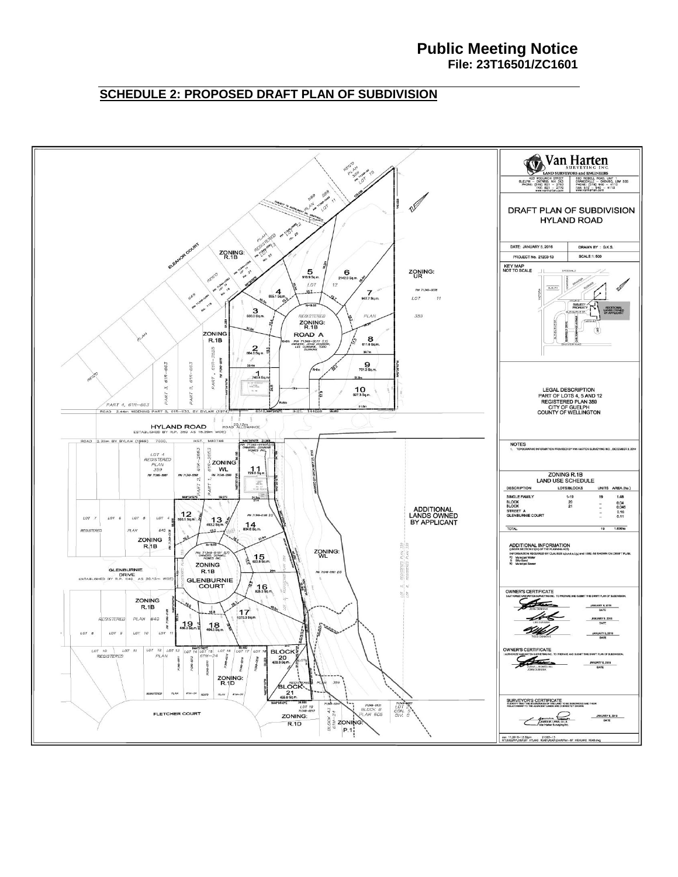#### **Public Meeting Notice File: 23T16501/ZC1601**

### **SCHEDULE 2: PROPOSED DRAFT PLAN OF SUBDIVISION**

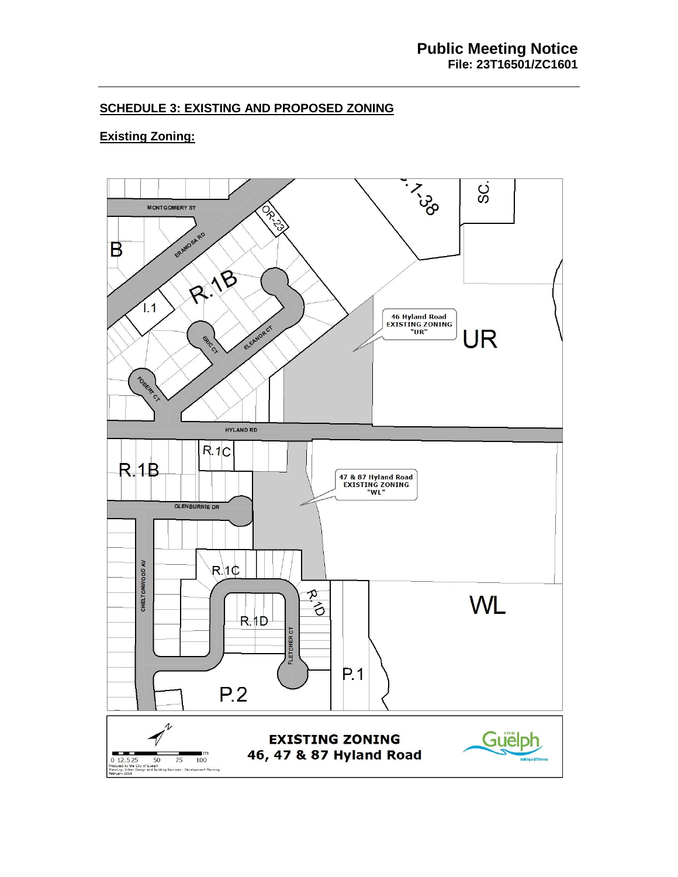### **SCHEDULE 3: EXISTING AND PROPOSED ZONING**

# **Existing Zoning:**